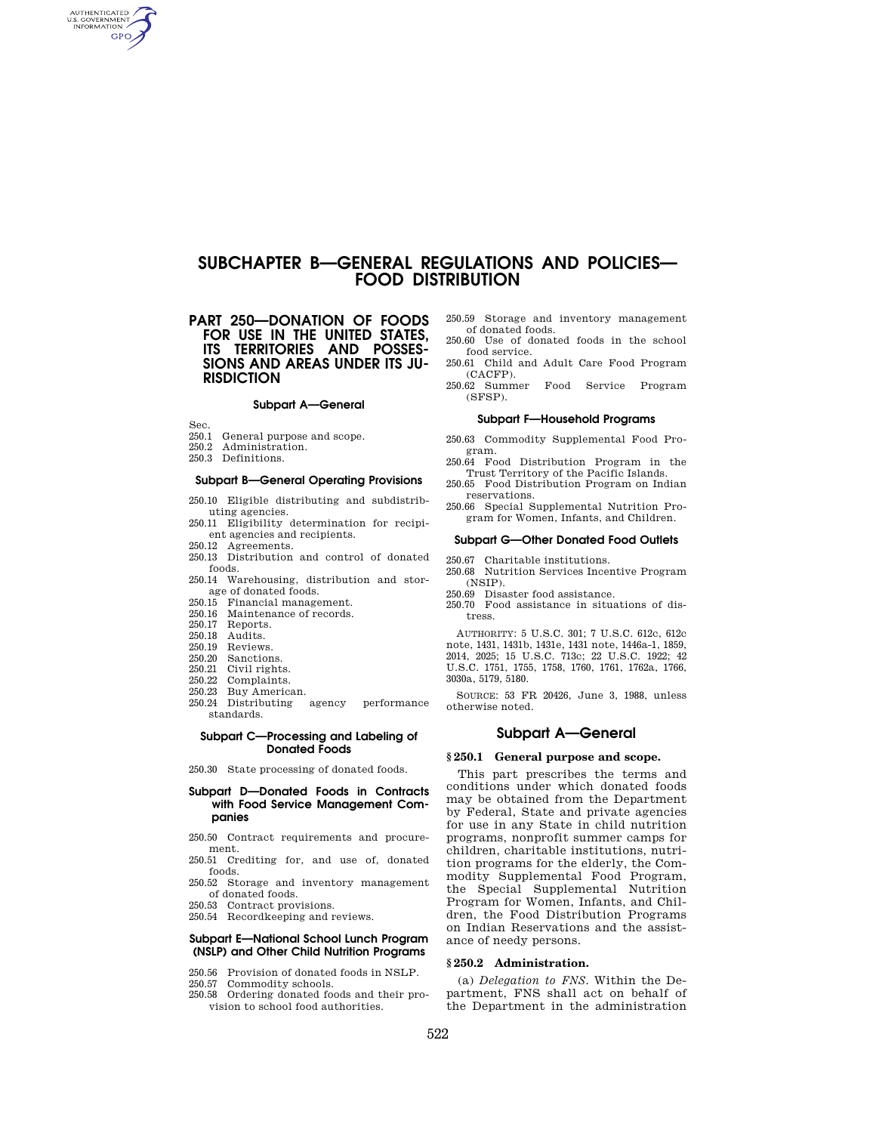# **SUBCHAPTER B—GENERAL REGULATIONS AND POLICIES— FOOD DISTRIBUTION**

# **PART 250—DONATION OF FOODS FOR USE IN THE UNITED STATES, ITS TERRITORIES AND POSSES-SIONS AND AREAS UNDER ITS JU-RISDICTION**

#### **Subpart A—General**

Sec.

AUTHENTICATED<br>U.S. GOVERNMENT<br>INFORMATION **GPO** 

- 250.1 General purpose and scope.<br>250.2 Administration
- Administration.
- 250.3 Definitions.

## **Subpart B—General Operating Provisions**

- 250.10 Eligible distributing and subdistributing agencies.
- 250.11 Eligibility determination for recipient agencies and recipients.
- 250.12 Agreements.
- 250.13 Distribution and control of donated foods.
- 250.14 Warehousing, distribution and storage of donated foods.
- 250.15 Financial management.
- 250.16 Maintenance of records.
- 250.17 Reports. 250.18 Audits.
- 250.19 Reviews.
- 250.20 Sanctions.
- 250.21 Civil rights.
- 250.22 Complaints.
- 
- 250.23 Buy American.<br>250.24 Distributing agency 250.24 Distributing agency performance standards.

## **Subpart C—Processing and Labeling of Donated Foods**

250.30 State processing of donated foods.

# **Subpart D—Donated Foods in Contracts with Food Service Management Companies**

- 250.50 Contract requirements and procurement.
- 250.51 Crediting for, and use of, donated foods.
- 250.52 Storage and inventory management of donated foods.
- 250.53 Contract provisions.
- 250.54 Recordkeeping and reviews.

## **Subpart E—National School Lunch Program (NSLP) and Other Child Nutrition Programs**

- 250.56 Provision of donated foods in NSLP.
- 250.57 Commodity schools.
- 250.58 Ordering donated foods and their provision to school food authorities.

250.59 Storage and inventory management of donated foods.

- 250.60 Use of donated foods in the school food service.
- 250.61 Child and Adult Care Food Program (CACFP).
- 250.62 Summer Food Service Program (SFSP).

## **Subpart F—Household Programs**

- 250.63 Commodity Supplemental Food Program.
- 250.64 Food Distribution Program in the Trust Territory of the Pacific Islands.
- 250.65 Food Distribution Program on Indian reservations.
- 250.66 Special Supplemental Nutrition Program for Women, Infants, and Children.

### **Subpart G—Other Donated Food Outlets**

250.67 Charitable institutions.

- 250.68 Nutrition Services Incentive Program (NSIP).
- 250.69 Disaster food assistance.
- 250.70 Food assistance in situations of distress.

AUTHORITY: 5 U.S.C. 301; 7 U.S.C. 612c, 612c note, 1431, 1431b, 1431e, 1431 note, 1446a-1, 1859, 2014, 2025; 15 U.S.C. 713c; 22 U.S.C. 1922; 42 U.S.C. 1751, 1755, 1758, 1760, 1761, 1762a, 1766, 3030a, 5179, 5180.

SOURCE: 53 FR 20426, June 3, 1988, unless otherwise noted.

# **Subpart A—General**

# **§ 250.1 General purpose and scope.**

This part prescribes the terms and conditions under which donated foods may be obtained from the Department by Federal, State and private agencies for use in any State in child nutrition programs, nonprofit summer camps for children, charitable institutions, nutrition programs for the elderly, the Commodity Supplemental Food Program, the Special Supplemental Nutrition Program for Women, Infants, and Children, the Food Distribution Programs on Indian Reservations and the assistance of needy persons.

#### **§ 250.2 Administration.**

(a) *Delegation to FNS.* Within the Department, FNS shall act on behalf of the Department in the administration